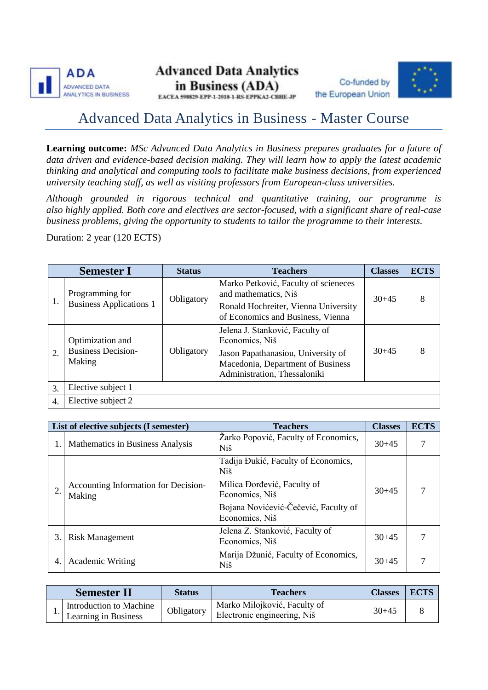





EACEA 598829-EPP-1-2018-1-RS-EPPKA2-CBHE-JP

## Advanced Data Analytics in Business - Master Course

**Learning outcome:** *MSc Advanced Data Analytics in Business prepares graduates for a future of data driven and evidence-based decision making. They will learn how to apply the latest academic thinking and analytical and computing tools to facilitate make business decisions, from experienced university teaching staff, as well as visiting professors from European-class universities.*

*Although grounded in rigorous technical and quantitative training, our programme is also highly applied. Both core and electives are sector-focused, with a significant share of real-case business problems, giving the opportunity to students to tailor the programme to their interests.*

Duration: 2 year (120 ECTS)

| <b>Semester I</b> |                                                         | <b>Status</b> | <b>Teachers</b>                                                                                                                                              | <b>Classes</b> | <b>ECTS</b> |
|-------------------|---------------------------------------------------------|---------------|--------------------------------------------------------------------------------------------------------------------------------------------------------------|----------------|-------------|
| 1.                | Programming for<br><b>Business Applications 1</b>       | Obligatory    | Marko Petković, Faculty of scieneces<br>and mathematics, Niš<br>Ronald Hochreiter, Vienna University<br>of Economics and Business, Vienna                    | $30+45$        | 8           |
| 2.                | Optimization and<br><b>Business Decision-</b><br>Making | Obligatory    | Jelena J. Stanković, Faculty of<br>Economics, Niš<br>Jason Papathanasiou, University of<br>Macedonia, Department of Business<br>Administration, Thessaloniki | $30+45$        | 8           |
| 3.                | Elective subject 1                                      |               |                                                                                                                                                              |                |             |
| 4.                | Elective subject 2                                      |               |                                                                                                                                                              |                |             |

| List of elective subjects (I semester) |                                                | <b>Teachers</b>                                        | <b>Classes</b> | <b>ECTS</b> |
|----------------------------------------|------------------------------------------------|--------------------------------------------------------|----------------|-------------|
|                                        | Mathematics in Business Analysis               | Žarko Popović, Faculty of Economics,<br>Niš            | $30+45$        |             |
|                                        |                                                | Tadija Đukić, Faculty of Economics,<br><b>Niš</b>      |                |             |
|                                        | Accounting Information for Decision-<br>Making | Milica Dorđević, Faculty of<br>Economics, Niš          | $30+45$        |             |
|                                        |                                                | Bojana Novićević-Čečević, Faculty of<br>Economics, Niš |                |             |
| 3.                                     | <b>Risk Management</b>                         | Jelena Z. Stanković, Faculty of<br>Economics, Niš      | $30+45$        |             |
| 4.                                     | <b>Academic Writing</b>                        | Marija Džunić, Faculty of Economics,<br>Niš            | $30+45$        |             |

| <b>Semester II</b>                                  | <b>Status</b> | <b>Teachers</b>                                             | <b>Classes</b> | <b>ECTS</b> |
|-----------------------------------------------------|---------------|-------------------------------------------------------------|----------------|-------------|
| <br>Introduction to Machine<br>Learning in Business | Obligatory    | Marko Milojković, Faculty of<br>Electronic engineering, Niš | $30+45$        |             |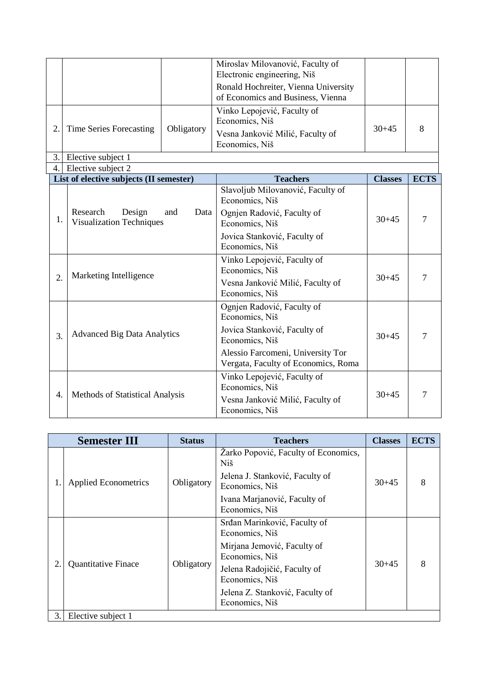|                  |                                                                      |            | Miroslav Milovanović, Faculty of<br>Electronic engineering, Niš<br>Ronald Hochreiter, Vienna University |                |             |
|------------------|----------------------------------------------------------------------|------------|---------------------------------------------------------------------------------------------------------|----------------|-------------|
|                  |                                                                      |            | of Economics and Business, Vienna                                                                       |                |             |
|                  | Time Series Forecasting                                              | Obligatory | Vinko Lepojević, Faculty of<br>Economics, Niš                                                           |                | 8           |
| 2.               |                                                                      |            | Vesna Janković Milić, Faculty of<br>Economics, Niš                                                      | $30+45$        |             |
| 3.               | Elective subject 1                                                   |            |                                                                                                         |                |             |
| 4.               | Elective subject 2                                                   |            |                                                                                                         |                |             |
|                  | List of elective subjects (II semester)                              |            | <b>Teachers</b>                                                                                         | <b>Classes</b> | <b>ECTS</b> |
|                  |                                                                      |            | Slavoljub Milovanović, Faculty of<br>Economics, Niš                                                     |                |             |
| 1.               | Research<br>Design<br>and<br>Data<br><b>Visualization Techniques</b> |            | Ognjen Radović, Faculty of<br>Economics, Niš                                                            | $30 + 45$      | 7           |
|                  |                                                                      |            | Jovica Stanković, Faculty of<br>Economics, Niš                                                          |                |             |
|                  | Marketing Intelligence                                               |            | Vinko Lepojević, Faculty of<br>Economics, Niš                                                           | $30 + 45$      | 7           |
| $\overline{2}$ . |                                                                      |            | Vesna Janković Milić, Faculty of<br>Economics, Niš                                                      |                |             |
|                  |                                                                      |            | Ognjen Radović, Faculty of<br>Economics, Niš                                                            |                |             |
| 3.               | <b>Advanced Big Data Analytics</b>                                   |            | Jovica Stanković, Faculty of<br>Economics, Niš                                                          | $30 + 45$      | 7           |
|                  |                                                                      |            | Alessio Farcomeni, University Tor<br>Vergata, Faculty of Economics, Roma                                |                |             |
| 4.               | Methods of Statistical Analysis                                      |            | Vinko Lepojević, Faculty of<br>Economics, Niš<br>Vesna Janković Milić, Faculty of<br>Economics, Niš     | $30 + 45$      | 7           |

| <b>Semester III</b> |                             | <b>Status</b> | <b>Teachers</b>                                   | <b>Classes</b> | <b>ECTS</b> |
|---------------------|-----------------------------|---------------|---------------------------------------------------|----------------|-------------|
|                     | <b>Applied Econometrics</b> | Obligatory    | Žarko Popović, Faculty of Economics,<br>Niš       |                | 8           |
|                     |                             |               | Jelena J. Stanković, Faculty of<br>Economics, Niš | $30+45$        |             |
|                     |                             |               | Ivana Marjanović, Faculty of<br>Economics, Niš    |                |             |
| 2.                  | <b>Quantitative Finace</b>  | Obligatory    | Srđan Marinković, Faculty of<br>Economics, Niš    | $30+45$        | 8           |
|                     |                             |               | Mirjana Jemović, Faculty of<br>Economics, Niš     |                |             |
|                     |                             |               | Jelena Radojičić, Faculty of<br>Economics, Niš    |                |             |
|                     |                             |               | Jelena Z. Stanković, Faculty of<br>Economics, Niš |                |             |
| 3.1                 | Elective subject 1          |               |                                                   |                |             |